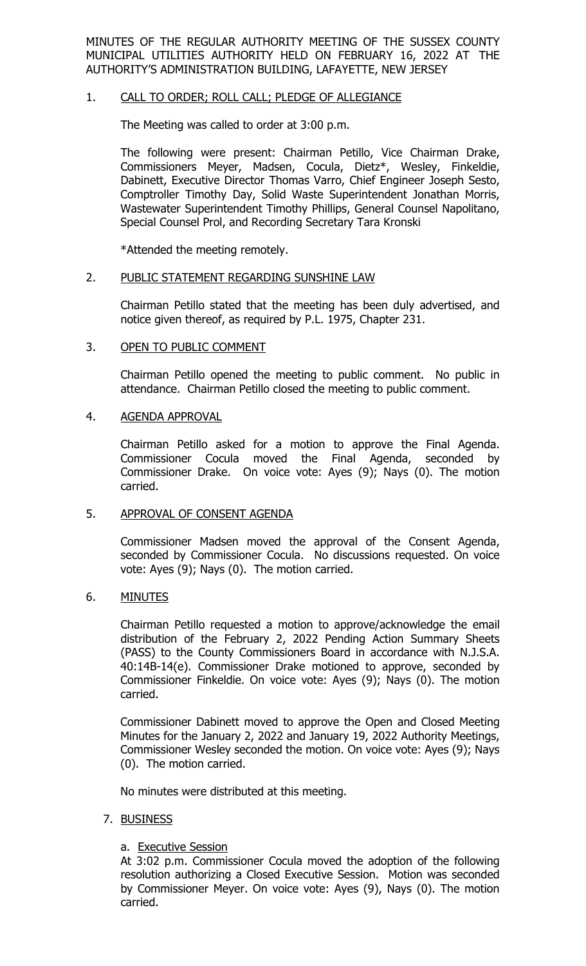MINUTES OF THE REGULAR AUTHORITY MEETING OF THE SUSSEX COUNTY MUNICIPAL UTILITIES AUTHORITY HELD ON FEBRUARY 16, 2022 AT THE AUTHORITY'S ADMINISTRATION BUILDING, LAFAYETTE, NEW JERSEY

### 1. CALL TO ORDER; ROLL CALL; PLEDGE OF ALLEGIANCE

The Meeting was called to order at 3:00 p.m.

The following were present: Chairman Petillo, Vice Chairman Drake, Commissioners Meyer, Madsen, Cocula, Dietz\*, Wesley, Finkeldie, Dabinett, Executive Director Thomas Varro, Chief Engineer Joseph Sesto, Comptroller Timothy Day, Solid Waste Superintendent Jonathan Morris, Wastewater Superintendent Timothy Phillips, General Counsel Napolitano, Special Counsel Prol, and Recording Secretary Tara Kronski

\*Attended the meeting remotely.

### 2. PUBLIC STATEMENT REGARDING SUNSHINE LAW

Chairman Petillo stated that the meeting has been duly advertised, and notice given thereof, as required by P.L. 1975, Chapter 231.

### 3. OPEN TO PUBLIC COMMENT

Chairman Petillo opened the meeting to public comment. No public in attendance. Chairman Petillo closed the meeting to public comment.

### 4. AGENDA APPROVAL

Chairman Petillo asked for a motion to approve the Final Agenda. Commissioner Cocula moved the Final Agenda, seconded by Commissioner Drake. On voice vote: Ayes (9); Nays (0). The motion carried.

### 5. APPROVAL OF CONSENT AGENDA

Commissioner Madsen moved the approval of the Consent Agenda, seconded by Commissioner Cocula. No discussions requested. On voice vote: Ayes (9); Nays (0). The motion carried.

### 6. MINUTES

Chairman Petillo requested a motion to approve/acknowledge the email distribution of the February 2, 2022 Pending Action Summary Sheets (PASS) to the County Commissioners Board in accordance with N.J.S.A. 40:14B-14(e). Commissioner Drake motioned to approve, seconded by Commissioner Finkeldie. On voice vote: Ayes (9); Nays (0). The motion carried.

Commissioner Dabinett moved to approve the Open and Closed Meeting Minutes for the January 2, 2022 and January 19, 2022 Authority Meetings, Commissioner Wesley seconded the motion. On voice vote: Ayes (9); Nays (0). The motion carried.

No minutes were distributed at this meeting.

### 7. BUSINESS

# a. Executive Session

At 3:02 p.m. Commissioner Cocula moved the adoption of the following resolution authorizing a Closed Executive Session. Motion was seconded by Commissioner Meyer. On voice vote: Ayes (9), Nays (0). The motion carried.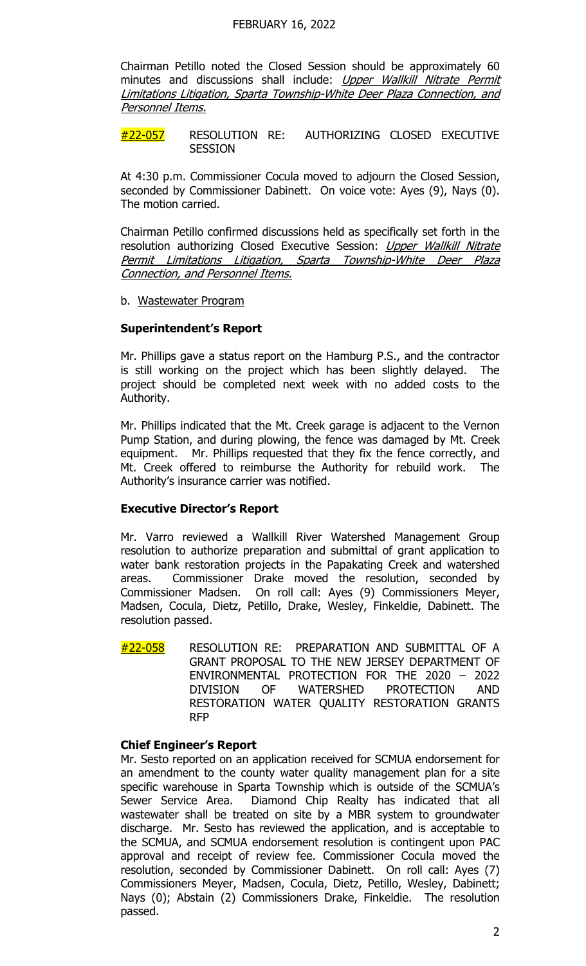Chairman Petillo noted the Closed Session should be approximately 60 minutes and discussions shall include: Upper Wallkill Nitrate Permit Limitations Litigation, Sparta Township-White Deer Plaza Connection, and Personnel Items.

#22-057 RESOLUTION RE: AUTHORIZING CLOSED EXECUTIVE **SESSION** 

At 4:30 p.m. Commissioner Cocula moved to adjourn the Closed Session, seconded by Commissioner Dabinett. On voice vote: Ayes (9), Nays (0). The motion carried.

Chairman Petillo confirmed discussions held as specifically set forth in the resolution authorizing Closed Executive Session: Upper Wallkill Nitrate Permit Limitations Litigation, Sparta Township-White Deer Plaza Connection, and Personnel Items.

b. Wastewater Program

### **Superintendent's Report**

Mr. Phillips gave a status report on the Hamburg P.S., and the contractor is still working on the project which has been slightly delayed. The project should be completed next week with no added costs to the Authority.

Mr. Phillips indicated that the Mt. Creek garage is adjacent to the Vernon Pump Station, and during plowing, the fence was damaged by Mt. Creek equipment. Mr. Phillips requested that they fix the fence correctly, and Mt. Creek offered to reimburse the Authority for rebuild work. The Authority's insurance carrier was notified.

### **Executive Director's Report**

Mr. Varro reviewed a Wallkill River Watershed Management Group resolution to authorize preparation and submittal of grant application to water bank restoration projects in the Papakating Creek and watershed areas. Commissioner Drake moved the resolution, seconded by Commissioner Madsen. On roll call: Ayes (9) Commissioners Meyer, Madsen, Cocula, Dietz, Petillo, Drake, Wesley, Finkeldie, Dabinett. The resolution passed.

#22-058 RESOLUTION RE: PREPARATION AND SUBMITTAL OF A GRANT PROPOSAL TO THE NEW JERSEY DEPARTMENT OF ENVIRONMENTAL PROTECTION FOR THE 2020 – 2022 DIVISION OF WATERSHED PROTECTION AND RESTORATION WATER QUALITY RESTORATION GRANTS RFP

### **Chief Engineer's Report**

Mr. Sesto reported on an application received for SCMUA endorsement for an amendment to the county water quality management plan for a site specific warehouse in Sparta Township which is outside of the SCMUA's Sewer Service Area. Diamond Chip Realty has indicated that all wastewater shall be treated on site by a MBR system to groundwater discharge. Mr. Sesto has reviewed the application, and is acceptable to the SCMUA, and SCMUA endorsement resolution is contingent upon PAC approval and receipt of review fee. Commissioner Cocula moved the resolution, seconded by Commissioner Dabinett. On roll call: Ayes (7) Commissioners Meyer, Madsen, Cocula, Dietz, Petillo, Wesley, Dabinett; Nays (0); Abstain (2) Commissioners Drake, Finkeldie. The resolution passed.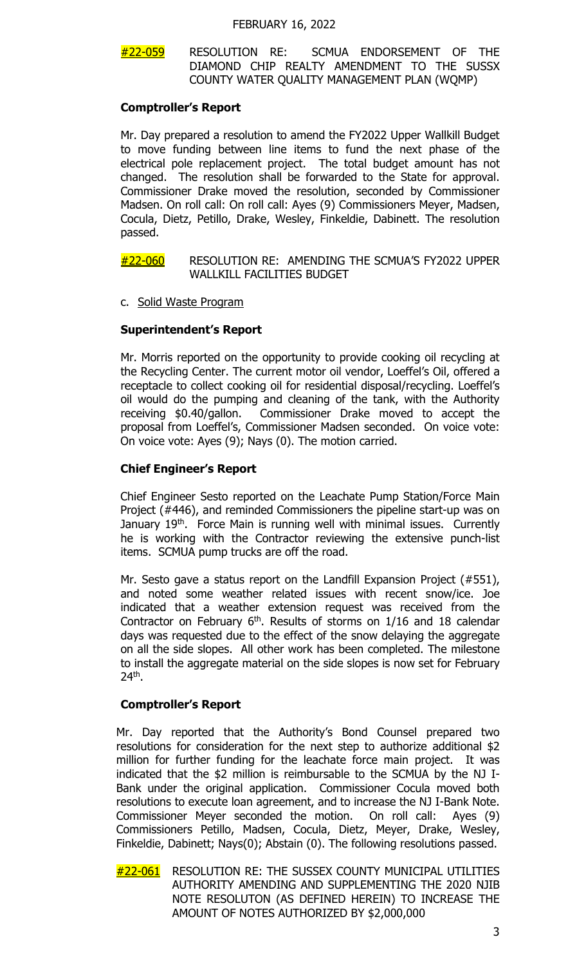### #22-059 RESOLUTION RE: SCMUA ENDORSEMENT OF THE DIAMOND CHIP REALTY AMENDMENT TO THE SUSSX COUNTY WATER QUALITY MANAGEMENT PLAN (WQMP)

### **Comptroller's Report**

Mr. Day prepared a resolution to amend the FY2022 Upper Wallkill Budget to move funding between line items to fund the next phase of the electrical pole replacement project. The total budget amount has not changed. The resolution shall be forwarded to the State for approval. Commissioner Drake moved the resolution, seconded by Commissioner Madsen. On roll call: On roll call: Ayes (9) Commissioners Meyer, Madsen, Cocula, Dietz, Petillo, Drake, Wesley, Finkeldie, Dabinett. The resolution passed.

### #22-060 RESOLUTION RE: AMENDING THE SCMUA'S FY2022 UPPER WALLKILL FACILITIES BUDGET

c. Solid Waste Program

# **Superintendent's Report**

Mr. Morris reported on the opportunity to provide cooking oil recycling at the Recycling Center. The current motor oil vendor, Loeffel's Oil, offered a receptacle to collect cooking oil for residential disposal/recycling. Loeffel's oil would do the pumping and cleaning of the tank, with the Authority receiving \$0.40/gallon. Commissioner Drake moved to accept the proposal from Loeffel's, Commissioner Madsen seconded. On voice vote: On voice vote: Ayes (9); Nays (0). The motion carried.

# **Chief Engineer's Report**

Chief Engineer Sesto reported on the Leachate Pump Station/Force Main Project (#446), and reminded Commissioners the pipeline start-up was on January 19<sup>th</sup>. Force Main is running well with minimal issues. Currently he is working with the Contractor reviewing the extensive punch-list items. SCMUA pump trucks are off the road.

Mr. Sesto gave a status report on the Landfill Expansion Project (#551), and noted some weather related issues with recent snow/ice. Joe indicated that a weather extension request was received from the Contractor on February  $6<sup>th</sup>$ . Results of storms on  $1/16$  and 18 calendar days was requested due to the effect of the snow delaying the aggregate on all the side slopes. All other work has been completed. The milestone to install the aggregate material on the side slopes is now set for February 24th.

# **Comptroller's Report**

Mr. Day reported that the Authority's Bond Counsel prepared two resolutions for consideration for the next step to authorize additional \$2 million for further funding for the leachate force main project. It was indicated that the \$2 million is reimbursable to the SCMUA by the NJ I-Bank under the original application. Commissioner Cocula moved both resolutions to execute loan agreement, and to increase the NJ I-Bank Note. Commissioner Meyer seconded the motion. On roll call: Ayes (9) Commissioners Petillo, Madsen, Cocula, Dietz, Meyer, Drake, Wesley, Finkeldie, Dabinett; Nays(0); Abstain (0). The following resolutions passed.

#22-061 RESOLUTION RE: THE SUSSEX COUNTY MUNICIPAL UTILITIES AUTHORITY AMENDING AND SUPPLEMENTING THE 2020 NJIB NOTE RESOLUTON (AS DEFINED HEREIN) TO INCREASE THE AMOUNT OF NOTES AUTHORIZED BY \$2,000,000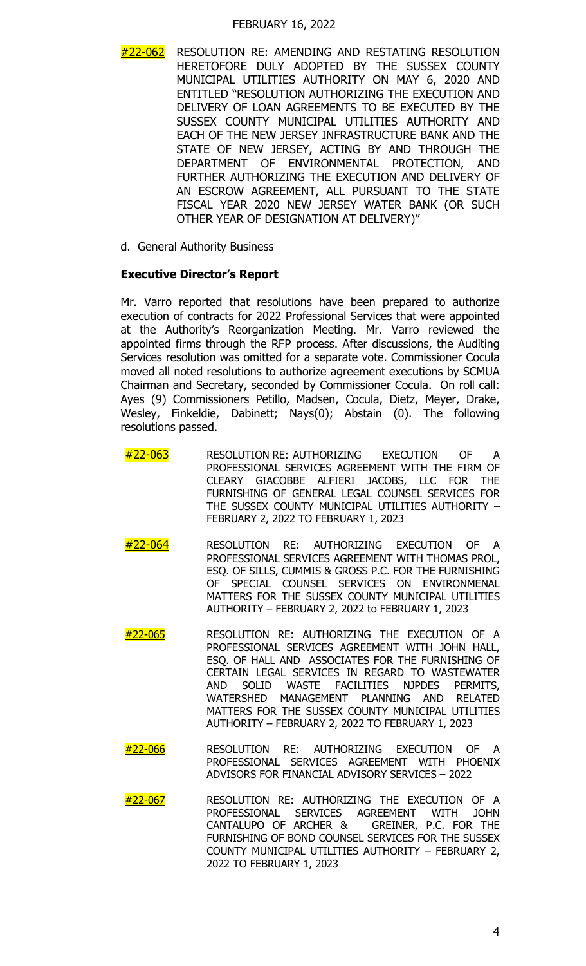#### FEBRUARY 16, 2022

- #22-062 RESOLUTION RE: AMENDING AND RESTATING RESOLUTION HERETOFORE DULY ADOPTED BY THE SUSSEX COUNTY MUNICIPAL UTILITIES AUTHORITY ON MAY 6, 2020 AND ENTITLED "RESOLUTION AUTHORIZING THE EXECUTION AND DELIVERY OF LOAN AGREEMENTS TO BE EXECUTED BY THE SUSSEX COUNTY MUNICIPAL UTILITIES AUTHORITY AND EACH OF THE NEW JERSEY INFRASTRUCTURE BANK AND THE STATE OF NEW JERSEY, ACTING BY AND THROUGH THE DEPARTMENT OF ENVIRONMENTAL PROTECTION, AND FURTHER AUTHORIZING THE EXECUTION AND DELIVERY OF AN ESCROW AGREEMENT, ALL PURSUANT TO THE STATE FISCAL YEAR 2020 NEW JERSEY WATER BANK (OR SUCH OTHER YEAR OF DESIGNATION AT DELIVERY)"
- d. General Authority Business

### **Executive Director's Report**

Mr. Varro reported that resolutions have been prepared to authorize execution of contracts for 2022 Professional Services that were appointed at the Authority's Reorganization Meeting. Mr. Varro reviewed the appointed firms through the RFP process. After discussions, the Auditing Services resolution was omitted for a separate vote. Commissioner Cocula moved all noted resolutions to authorize agreement executions by SCMUA Chairman and Secretary, seconded by Commissioner Cocula. On roll call: Ayes (9) Commissioners Petillo, Madsen, Cocula, Dietz, Meyer, Drake, Wesley, Finkeldie, Dabinett; Nays(0); Abstain (0). The following resolutions passed.

- #22-063 RESOLUTION RE: AUTHORIZING EXECUTION OF A PROFESSIONAL SERVICES AGREEMENT WITH THE FIRM OF CLEARY GIACOBBE ALFIERI JACOBS, LLC FOR THE FURNISHING OF GENERAL LEGAL COUNSEL SERVICES FOR THE SUSSEX COUNTY MUNICIPAL UTILITIES AUTHORITY – FEBRUARY 2, 2022 TO FEBRUARY 1, 2023
- #22-064 RESOLUTION RE: AUTHORIZING EXECUTION OF A PROFESSIONAL SERVICES AGREEMENT WITH THOMAS PROL, ESQ. OF SILLS, CUMMIS & GROSS P.C. FOR THE FURNISHING OF SPECIAL COUNSEL SERVICES ON ENVIRONMENAL MATTERS FOR THE SUSSEX COUNTY MUNICIPAL UTILITIES AUTHORITY – FEBRUARY 2, 2022 to FEBRUARY 1, 2023
- #22-065 RESOLUTION RE: AUTHORIZING THE EXECUTION OF A PROFESSIONAL SERVICES AGREEMENT WITH JOHN HALL, ESQ. OF HALL AND ASSOCIATES FOR THE FURNISHING OF CERTAIN LEGAL SERVICES IN REGARD TO WASTEWATER AND SOLID WASTE FACILITIES NJPDES PERMITS, WATERSHED MANAGEMENT PLANNING AND RELATED MATTERS FOR THE SUSSEX COUNTY MUNICIPAL UTILITIES AUTHORITY – FEBRUARY 2, 2022 TO FEBRUARY 1, 2023
- #22-066 RESOLUTION RE: AUTHORIZING EXECUTION OF A PROFESSIONAL SERVICES AGREEMENT WITH PHOENIX ADVISORS FOR FINANCIAL ADVISORY SERVICES – 2022
- #22-067 RESOLUTION RE: AUTHORIZING THE EXECUTION OF A PROFESSIONAL SERVICES AGREEMENT WITH JOHN<br>CANTALUPO OF ARCHER & GREINER, P.C. FOR THE CANTALUPO OF ARCHER & FURNISHING OF BOND COUNSEL SERVICES FOR THE SUSSEX COUNTY MUNICIPAL UTILITIES AUTHORITY – FEBRUARY 2, 2022 TO FEBRUARY 1, 2023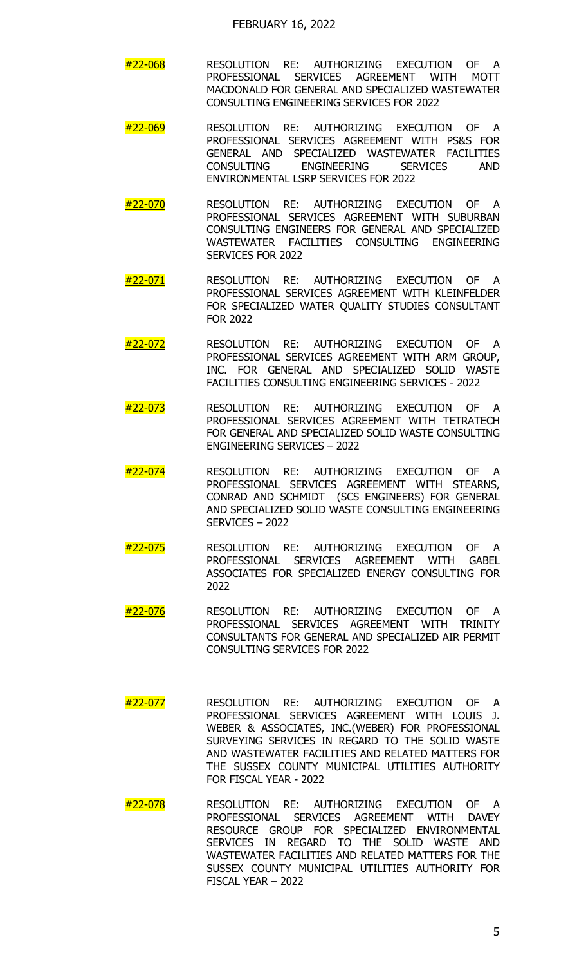- #22-068 RESOLUTION RE: AUTHORIZING EXECUTION OF A PROFESSIONAL SERVICES AGREEMENT WITH MOTT MACDONALD FOR GENERAL AND SPECIALIZED WASTEWATER CONSULTING ENGINEERING SERVICES FOR 2022
- <mark>#22-069</mark> RESOLUTION RE: AUTHORIZING EXECUTION OF A PROFESSIONAL SERVICES AGREEMENT WITH PS&S FOR GENERAL AND SPECIALIZED WASTEWATER FACILITIES<br>CONSULTING ENGINEERING SERVICES AND CONSULTING ENGINEERING SERVICES AND ENVIRONMENTAL LSRP SERVICES FOR 2022
- <mark>#22-070</mark> RESOLUTION RE: AUTHORIZING EXECUTION OF A PROFESSIONAL SERVICES AGREEMENT WITH SUBURBAN CONSULTING ENGINEERS FOR GENERAL AND SPECIALIZED WASTEWATER FACILITIES CONSULTING ENGINEERING SERVICES FOR 2022
- #22-071 RESOLUTION RE: AUTHORIZING EXECUTION OF A PROFESSIONAL SERVICES AGREEMENT WITH KLEINFELDER FOR SPECIALIZED WATER QUALITY STUDIES CONSULTANT FOR 2022
- #22-072 RESOLUTION RE: AUTHORIZING EXECUTION OF A PROFESSIONAL SERVICES AGREEMENT WITH ARM GROUP, INC. FOR GENERAL AND SPECIALIZED SOLID WASTE FACILITIES CONSULTING ENGINEERING SERVICES - 2022
- #22-073 RESOLUTION RE: AUTHORIZING EXECUTION OF A PROFESSIONAL SERVICES AGREEMENT WITH TETRATECH FOR GENERAL AND SPECIALIZED SOLID WASTE CONSULTING ENGINEERING SERVICES – 2022
- <mark>#22-074</mark> RESOLUTION RE: AUTHORIZING EXECUTION OF A PROFESSIONAL SERVICES AGREEMENT WITH STEARNS, CONRAD AND SCHMIDT (SCS ENGINEERS) FOR GENERAL AND SPECIALIZED SOLID WASTE CONSULTING ENGINEERING SERVICES – 2022
- #22-075 RESOLUTION RE: AUTHORIZING EXECUTION OF A PROFESSIONAL SERVICES AGREEMENT WITH GABEL ASSOCIATES FOR SPECIALIZED ENERGY CONSULTING FOR 2022
- #22-076 RESOLUTION RE: AUTHORIZING EXECUTION OF A PROFESSIONAL SERVICES AGREEMENT WITH TRINITY CONSULTANTS FOR GENERAL AND SPECIALIZED AIR PERMIT CONSULTING SERVICES FOR 2022
- #22-077 RESOLUTION RE: AUTHORIZING EXECUTION OF A PROFESSIONAL SERVICES AGREEMENT WITH LOUIS J. WEBER & ASSOCIATES, INC.(WEBER) FOR PROFESSIONAL SURVEYING SERVICES IN REGARD TO THE SOLID WASTE AND WASTEWATER FACILITIES AND RELATED MATTERS FOR THE SUSSEX COUNTY MUNICIPAL UTILITIES AUTHORITY FOR FISCAL YEAR - 2022
- #22-078 RESOLUTION RE: AUTHORIZING EXECUTION OF A PROFESSIONAL SERVICES AGREEMENT WITH DAVEY RESOURCE GROUP FOR SPECIALIZED ENVIRONMENTAL SERVICES IN REGARD TO THE SOLID WASTE AND WASTEWATER FACILITIES AND RELATED MATTERS FOR THE SUSSEX COUNTY MUNICIPAL UTILITIES AUTHORITY FOR FISCAL YEAR – 2022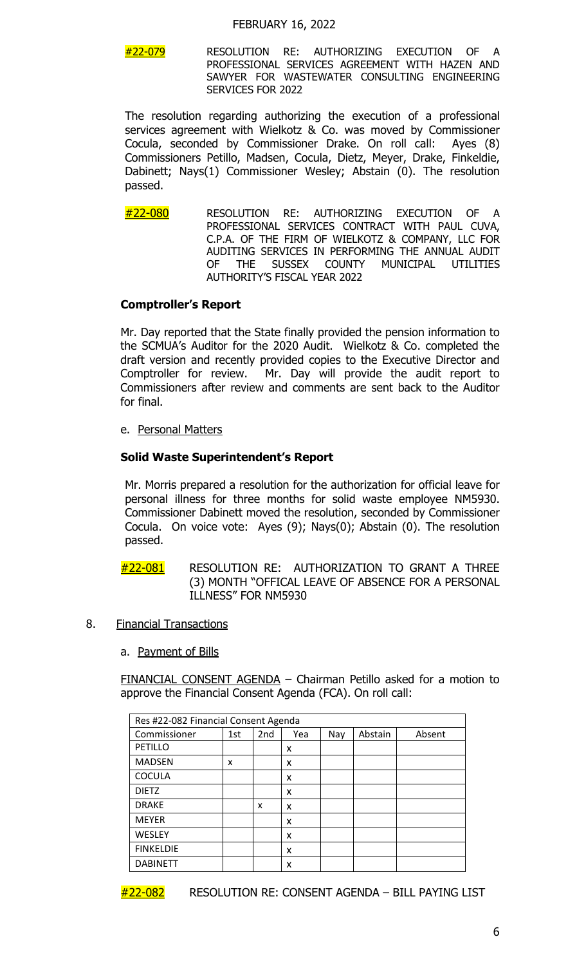#### FEBRUARY 16, 2022

 $\#$ 22-079 RESOLUTION RE: AUTHORIZING EXECUTION OF PROFESSIONAL SERVICES AGREEMENT WITH HAZEN AND SAWYER FOR WASTEWATER CONSULTING ENGINEERING SERVICES FOR 2022

 The resolution regarding authorizing the execution of a professional services agreement with Wielkotz & Co. was moved by Commissioner Cocula, seconded by Commissioner Drake. On roll call: Ayes (8) Commissioners Petillo, Madsen, Cocula, Dietz, Meyer, Drake, Finkeldie, Dabinett; Nays(1) Commissioner Wesley; Abstain (0). The resolution passed.

#22-080 RESOLUTION RE: AUTHORIZING EXECUTION OF A PROFESSIONAL SERVICES CONTRACT WITH PAUL CUVA, C.P.A. OF THE FIRM OF WIELKOTZ & COMPANY, LLC FOR AUDITING SERVICES IN PERFORMING THE ANNUAL AUDIT<br>OF THE SUSSEX COUNTY MUNICIPAL UTILITIES OF THE SUSSEX COUNTY MUNICIPAL UTILITIES AUTHORITY'S FISCAL YEAR 2022

#### **Comptroller's Report**

Mr. Day reported that the State finally provided the pension information to the SCMUA's Auditor for the 2020 Audit. Wielkotz & Co. completed the draft version and recently provided copies to the Executive Director and Comptroller for review. Mr. Day will provide the audit report to Commissioners after review and comments are sent back to the Auditor for final.

e. Personal Matters

### **Solid Waste Superintendent's Report**

Mr. Morris prepared a resolution for the authorization for official leave for personal illness for three months for solid waste employee NM5930. Commissioner Dabinett moved the resolution, seconded by Commissioner Cocula. On voice vote: Ayes (9); Nays(0); Abstain (0). The resolution passed.

- #22-081 RESOLUTION RE: AUTHORIZATION TO GRANT A THREE (3) MONTH "OFFICAL LEAVE OF ABSENCE FOR A PERSONAL ILLNESS" FOR NM5930
- 8. Financial Transactions
	- a. Payment of Bills

FINANCIAL CONSENT AGENDA – Chairman Petillo asked for a motion to approve the Financial Consent Agenda (FCA). On roll call:

| Res #22-082 Financial Consent Agenda |     |                 |     |     |         |        |
|--------------------------------------|-----|-----------------|-----|-----|---------|--------|
| Commissioner                         | 1st | 2 <sub>nd</sub> | Yea | Nay | Abstain | Absent |
| PETILLO                              |     |                 | x   |     |         |        |
| <b>MADSEN</b>                        | x   |                 | x   |     |         |        |
| <b>COCULA</b>                        |     |                 | x   |     |         |        |
| <b>DIETZ</b>                         |     |                 | x   |     |         |        |
| <b>DRAKE</b>                         |     | x               | x   |     |         |        |
| <b>MEYER</b>                         |     |                 | x   |     |         |        |
| <b>WESLEY</b>                        |     |                 | x   |     |         |        |
| <b>FINKELDIE</b>                     |     |                 | x   |     |         |        |
| <b>DABINETT</b>                      |     |                 | x   |     |         |        |

#22-082 RESOLUTION RE: CONSENT AGENDA – BILL PAYING LIST